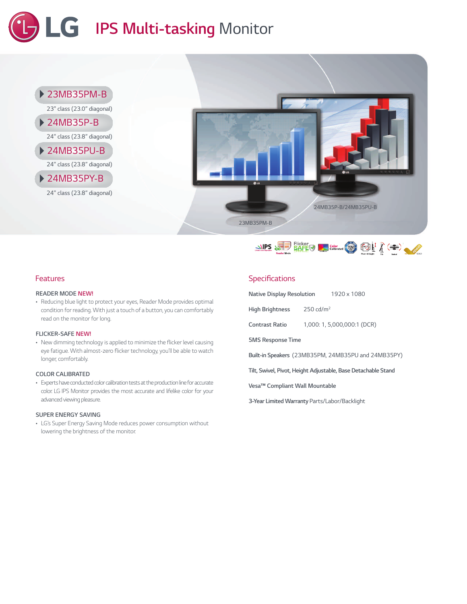# *IPS Multi-tasking Monitor*





### *Features*

#### *READER MODE NEW!*

*• Reducing blue light to protectyour eyes, Reader Mode provides optimal condition for reading. With just a touch of a button,you can comfortably read on the monitor for long.*

#### *FLICKER-SAFE NEW!*

*• New dimming technologyis applied to minimize the flicker levelcausing eye fatigue. With almost-zero flicker technology,you'll be able to watch longer, comfortably.*

#### *COLOR CALIBRATED*

• Experts have conducted color calibration tests at the production line for accurate *color. LG IPS Monitor provides the most accurate and lifelike color for your advanced viewing pleasure.*

#### *SUPER ENERGY SAVING*

*• LG's Super Energy Saving Mode reduces power consumption without lowering the brightness of the monitor.*

#### *Specifications*

| Native Display Resolution<br>1920 x 1080                      |                             |  |  |  |  |  |  |  |
|---------------------------------------------------------------|-----------------------------|--|--|--|--|--|--|--|
| <b>High Brightness</b>                                        | $250 \text{ cd/m}^2$        |  |  |  |  |  |  |  |
| <b>Contrast Ratio</b>                                         | 1,000: 1, 5,000,000:1 (DCR) |  |  |  |  |  |  |  |
| <b>5MS Response Time</b>                                      |                             |  |  |  |  |  |  |  |
| Built-in Speakers (23MB35PM, 24MB35PU and 24MB35PY)           |                             |  |  |  |  |  |  |  |
| Tilt, Swivel, Pivot, Height Adjustable, Base Detachable Stand |                             |  |  |  |  |  |  |  |
| Vesa <sup>™</sup> Compliant Wall Mountable                    |                             |  |  |  |  |  |  |  |
| 3-Year Limited Warranty Parts/Labor/Backlight                 |                             |  |  |  |  |  |  |  |